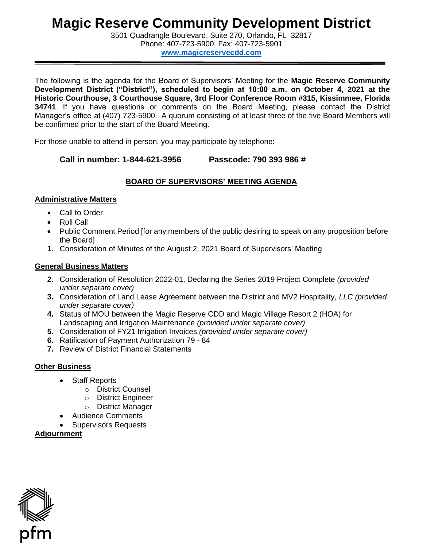# **Magic Reserve Community Development District**

 3501 Quadrangle Boulevard, Suite 270, Orlando, FL 32817 Phone: 407-723-5900, Fax: 407-723-5901

**[www.magicreservecdd.com](http://www.magicreservecdd.com/)** 

The following is the agenda for the Board of Supervisors' Meeting for the **Magic Reserve Community Development District ("District"), scheduled to begin at 10:00 a.m. on October 4, 2021 at the Historic Courthouse, 3 Courthouse Square, 3rd Floor Conference Room #315, Kissimmee, Florida 34741**. If you have questions or comments on the Board Meeting, please contact the District Manager's office at (407) 723-5900. A quorum consisting of at least three of the five Board Members will be confirmed prior to the start of the Board Meeting.

For those unable to attend in person, you may participate by telephone:

**Call in number: 1-844-621-3956 Passcode: 790 393 986 #** 

# **BOARD OF SUPERVISORS' MEETING AGENDA**

## **Administrative Matters**

- Call to Order
- Roll Call
- Public Comment Period [for any members of the public desiring to speak on any proposition before the Board]
- **1.** Consideration of Minutes of the August 2, 2021 Board of Supervisors' Meeting

### **General Business Matters**

- **2.** Consideration of Resolution 2022-01, Declaring the Series 2019 Project Complete *(provided under separate cover)*
- **3.** Consideration of Land Lease Agreement between the District and MV2 Hospitality, *LLC (provided under separate cover)*
- **4.** Status of MOU between the Magic Reserve CDD and Magic Village Resort 2 (HOA) for Landscaping and Irrigation Maintenance *(provided under separate cover)*
- **5.** Consideration of FY21 Irrigation Invoices *(provided under separate cover)*
- **6.** Ratification of Payment Authorization 79 84
- **7.** Review of District Financial Statements

### **Other Business**

- Staff Reports
	- o District Counsel
	- o District Engineer
	- o District Manager
- Audience Comments
- Supervisors Requests

**Adjournment**